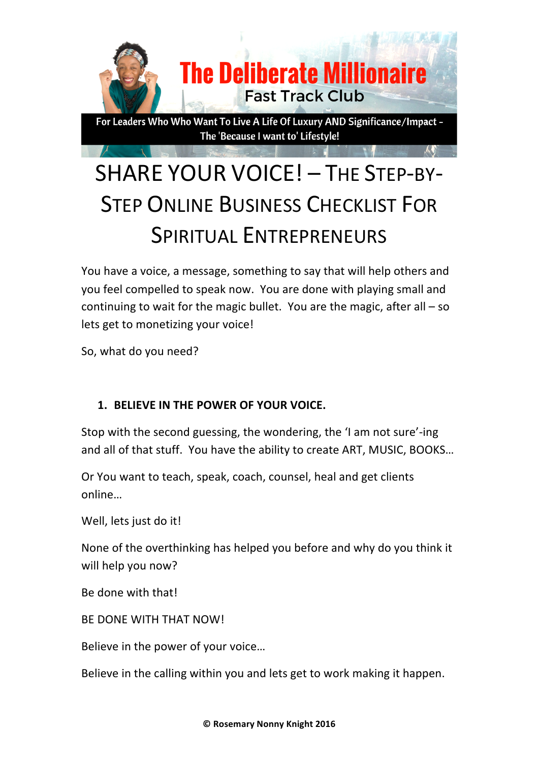

# SHARE YOUR VOICE! - THE STEP-BY-**STEP ONLINE BUSINESS CHECKLIST FOR** SPIRITUAL ENTREPRENEURS

You have a voice, a message, something to say that will help others and you feel compelled to speak now. You are done with playing small and continuing to wait for the magic bullet. You are the magic, after all  $-$  so lets get to monetizing your voice!

So, what do you need?

## **1. BELIEVE IN THE POWER OF YOUR VOICE.**

Stop with the second guessing, the wondering, the 'I am not sure'-ing and all of that stuff. You have the ability to create ART, MUSIC, BOOKS...

Or You want to teach, speak, coach, counsel, heal and get clients online…

Well, lets just do it!

None of the overthinking has helped you before and why do you think it will help you now?

Be done with that!

BE DONE WITH THAT NOW!

Believe in the power of your voice...

Believe in the calling within you and lets get to work making it happen.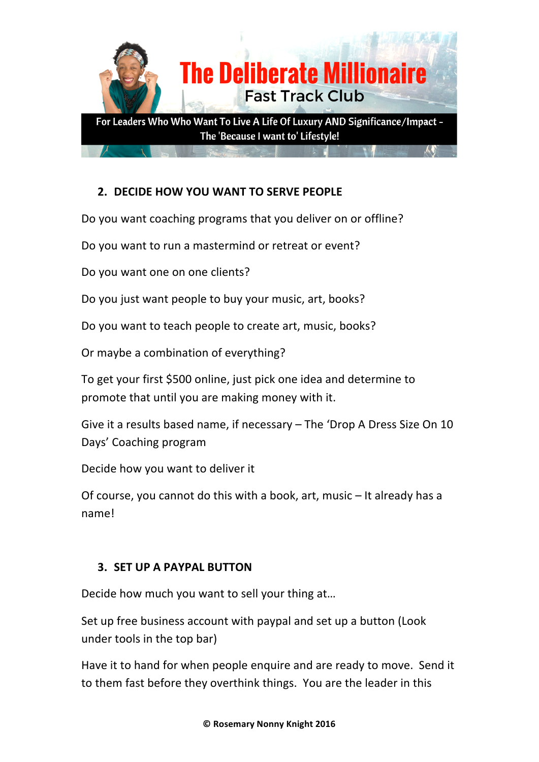

# **2. DECIDE HOW YOU WANT TO SERVE PEOPLE**

Do you want coaching programs that you deliver on or offline?

Do you want to run a mastermind or retreat or event?

Do you want one on one clients?

Do you just want people to buy your music, art, books?

Do you want to teach people to create art, music, books?

Or maybe a combination of everything?

To get your first \$500 online, just pick one idea and determine to promote that until you are making money with it.

Give it a results based name, if necessary  $-$  The 'Drop A Dress Size On 10 Days' Coaching program

Decide how you want to deliver it

Of course, you cannot do this with a book, art, music  $-$  It already has a name!

## **3. SET UP A PAYPAL BUTTON**

Decide how much you want to sell your thing at...

Set up free business account with paypal and set up a button (Look under tools in the top bar)

Have it to hand for when people enquire and are ready to move. Send it to them fast before they overthink things. You are the leader in this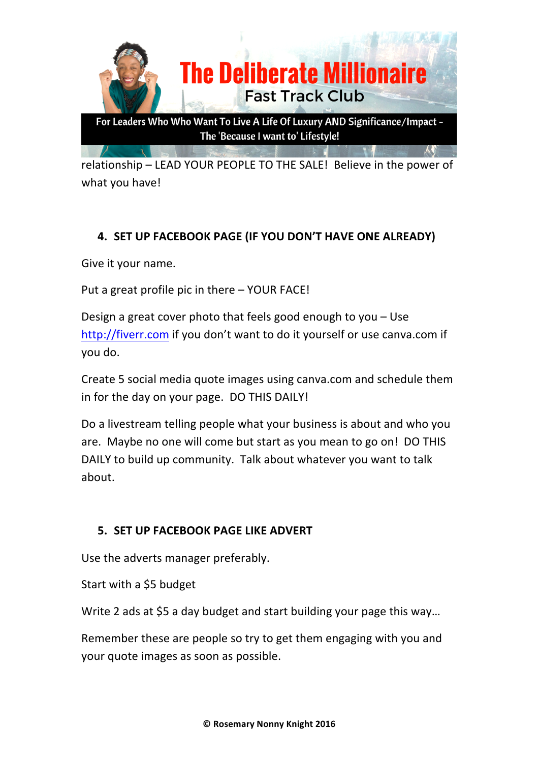

relationship – LEAD YOUR PEOPLE TO THE SALE! Believe in the power of what you have!

## **4. SET UP FACEBOOK PAGE (IF YOU DON'T HAVE ONE ALREADY)**

Give it your name.

Put a great profile pic in there  $-$  YOUR FACE!

Design a great cover photo that feels good enough to you  $-$  Use http://fiverr.com if you don't want to do it yourself or use canva.com if you do.

Create 5 social media quote images using canva.com and schedule them in for the day on your page. DO THIS DAILY!

Do a livestream telling people what your business is about and who you are. Maybe no one will come but start as you mean to go on! DO THIS DAILY to build up community. Talk about whatever you want to talk about.

#### **5. SET UP FACEBOOK PAGE LIKE ADVERT**

Use the adverts manager preferably.

Start with a \$5 budget

Write 2 ads at \$5 a day budget and start building your page this way...

Remember these are people so try to get them engaging with you and your quote images as soon as possible.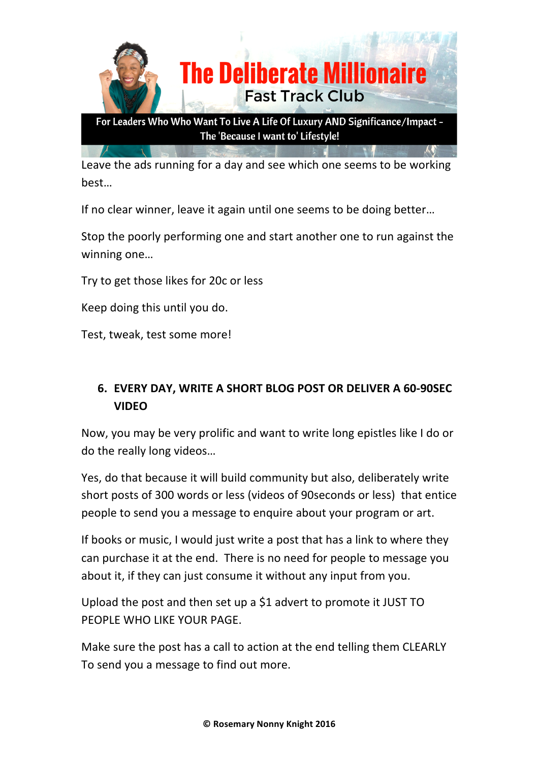

Leave the ads running for a day and see which one seems to be working best…

If no clear winner, leave it again until one seems to be doing better...

Stop the poorly performing one and start another one to run against the winning one...

Try to get those likes for 20c or less

Keep doing this until you do.

Test, tweak, test some more!

# **6. EVERY DAY, WRITE A SHORT BLOG POST OR DELIVER A 60-90SEC VIDEO**

Now, you may be very prolific and want to write long epistles like I do or do the really long videos...

Yes, do that because it will build community but also, deliberately write short posts of 300 words or less (videos of 90seconds or less) that entice people to send you a message to enquire about your program or art.

If books or music, I would just write a post that has a link to where they can purchase it at the end. There is no need for people to message you about it, if they can just consume it without any input from you.

Upload the post and then set up a  $$1$  advert to promote it JUST TO PEOPLE WHO LIKE YOUR PAGE.

Make sure the post has a call to action at the end telling them CLEARLY To send you a message to find out more.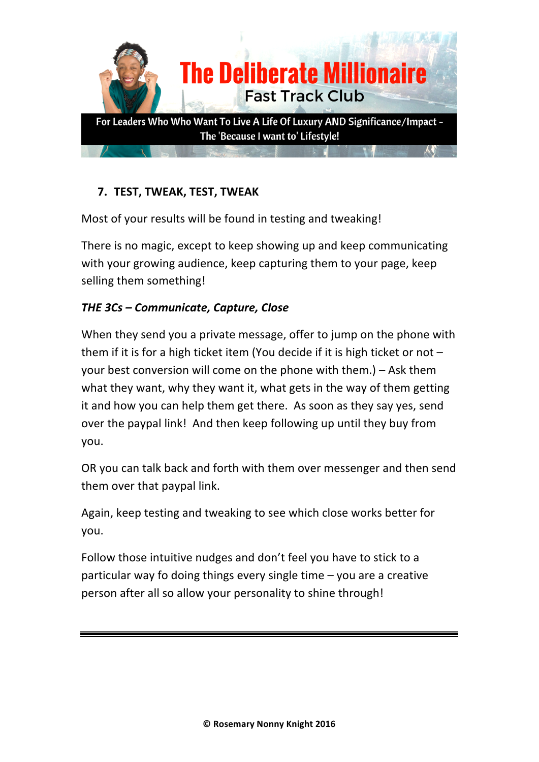

# **7. TEST, TWEAK, TEST, TWEAK**

Most of your results will be found in testing and tweaking!

There is no magic, except to keep showing up and keep communicating with your growing audience, keep capturing them to your page, keep selling them something!

# *THE 3Cs – Communicate, Capture, Close*

When they send you a private message, offer to jump on the phone with them if it is for a high ticket item (You decide if it is high ticket or not  $$ your best conversion will come on the phone with them.)  $-$  Ask them what they want, why they want it, what gets in the way of them getting it and how you can help them get there. As soon as they say yes, send over the paypal link! And then keep following up until they buy from you.

OR you can talk back and forth with them over messenger and then send them over that paypal link.

Again, keep testing and tweaking to see which close works better for you.

Follow those intuitive nudges and don't feel you have to stick to a particular way fo doing things every single time  $-$  you are a creative person after all so allow your personality to shine through!